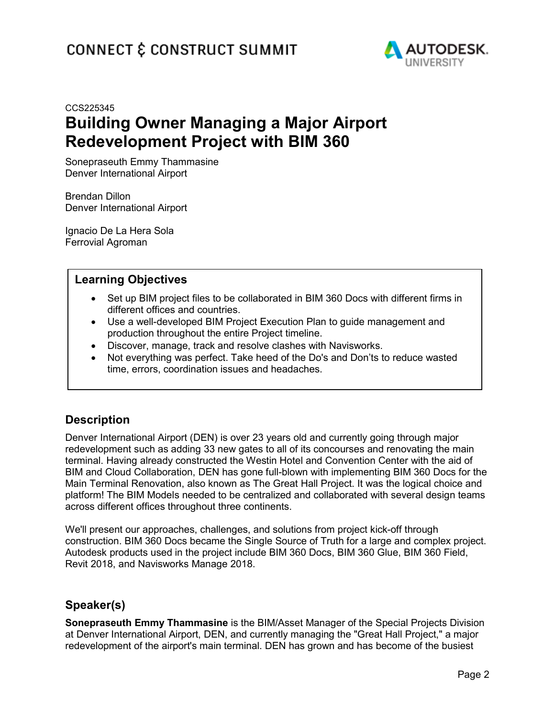

# CCS225345 **Building Owner Managing a Major Airport Redevelopment Project with BIM 360**

Sonepraseuth Emmy Thammasine Denver International Airport

Brendan Dillon Denver International Airport

Ignacio De La Hera Sola Ferrovial Agroman

# **Learning Objectives**

- Set up BIM project files to be collaborated in BIM 360 Docs with different firms in different offices and countries.
- Use a well-developed BIM Project Execution Plan to guide management and production throughout the entire Project timeline.
- Discover, manage, track and resolve clashes with Navisworks.
- Not everything was perfect. Take heed of the Do's and Don'ts to reduce wasted time, errors, coordination issues and headaches.

# **Description**

Denver International Airport (DEN) is over 23 years old and currently going through major redevelopment such as adding 33 new gates to all of its concourses and renovating the main terminal. Having already constructed the Westin Hotel and Convention Center with the aid of BIM and Cloud Collaboration, DEN has gone full-blown with implementing BIM 360 Docs for the Main Terminal Renovation, also known as The Great Hall Project. It was the logical choice and platform! The BIM Models needed to be centralized and collaborated with several design teams across different offices throughout three continents.

We'll present our approaches, challenges, and solutions from project kick-off through construction. BIM 360 Docs became the Single Source of Truth for a large and complex project. Autodesk products used in the project include BIM 360 Docs, BIM 360 Glue, BIM 360 Field, Revit 2018, and Navisworks Manage 2018.

# **Speaker(s)**

**Sonepraseuth Emmy Thammasine** is the BIM/Asset Manager of the Special Projects Division at Denver International Airport, DEN, and currently managing the "Great Hall Project," a major redevelopment of the airport's main terminal. DEN has grown and has become of the busiest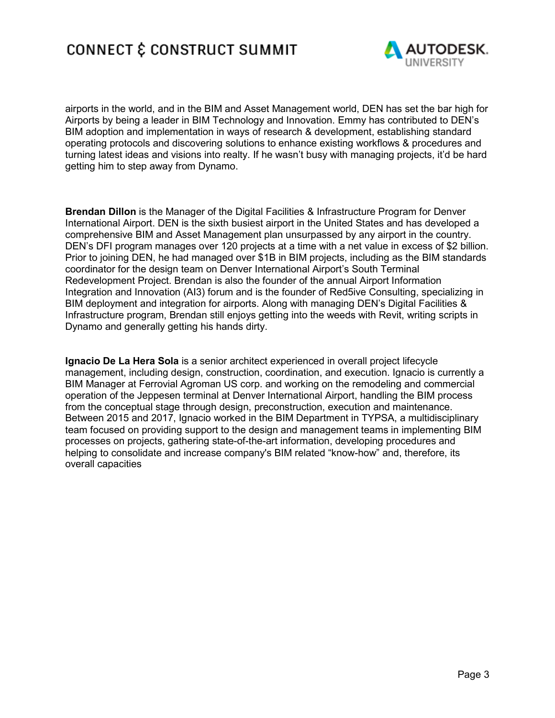

airports in the world, and in the BIM and Asset Management world, DEN has set the bar high for Airports by being a leader in BIM Technology and Innovation. Emmy has contributed to DEN's BIM adoption and implementation in ways of research & development, establishing standard operating protocols and discovering solutions to enhance existing workflows & procedures and turning latest ideas and visions into realty. If he wasn't busy with managing projects, it'd be hard getting him to step away from Dynamo.

**Brendan Dillon** is the Manager of the Digital Facilities & Infrastructure Program for Denver International Airport. DEN is the sixth busiest airport in the United States and has developed a comprehensive BIM and Asset Management plan unsurpassed by any airport in the country. DEN's DFI program manages over 120 projects at a time with a net value in excess of \$2 billion. Prior to joining DEN, he had managed over \$1B in BIM projects, including as the BIM standards coordinator for the design team on Denver International Airport's South Terminal Redevelopment Project. Brendan is also the founder of the annual Airport Information Integration and Innovation (AI3) forum and is the founder of Red5ive Consulting, specializing in BIM deployment and integration for airports. Along with managing DEN's Digital Facilities & Infrastructure program, Brendan still enjoys getting into the weeds with Revit, writing scripts in Dynamo and generally getting his hands dirty.

**Ignacio De La Hera Sola** is a senior architect experienced in overall project lifecycle management, including design, construction, coordination, and execution. Ignacio is currently a BIM Manager at Ferrovial Agroman US corp. and working on the remodeling and commercial operation of the Jeppesen terminal at Denver International Airport, handling the BIM process from the conceptual stage through design, preconstruction, execution and maintenance. Between 2015 and 2017, Ignacio worked in the BIM Department in TYPSA, a multidisciplinary team focused on providing support to the design and management teams in implementing BIM processes on projects, gathering state-of-the-art information, developing procedures and helping to consolidate and increase company's BIM related "know-how" and, therefore, its overall capacities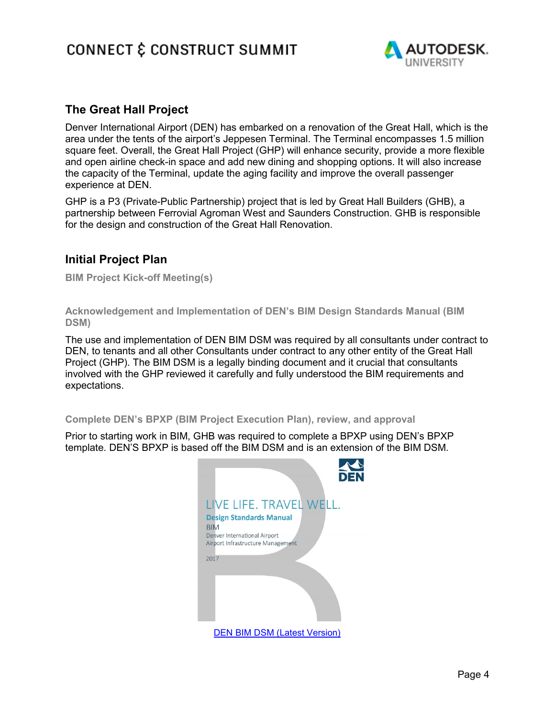

# **The Great Hall Project**

Denver International Airport (DEN) has embarked on a renovation of the Great Hall, which is the area under the tents of the airport's Jeppesen Terminal. The Terminal encompasses 1.5 million square feet. Overall, the Great Hall Project (GHP) will enhance security, provide a more flexible and open airline check-in space and add new dining and shopping options. It will also increase the capacity of the Terminal, update the aging facility and improve the overall passenger experience at DEN.

GHP is a P3 (Private-Public Partnership) project that is led by Great Hall Builders (GHB), a partnership between Ferrovial Agroman West and Saunders Construction. GHB is responsible for the design and construction of the Great Hall Renovation.

# **Initial Project Plan**

**BIM Project Kick-off Meeting(s)**

**Acknowledgement and Implementation of DEN's BIM Design Standards Manual (BIM DSM)**

The use and implementation of DEN BIM DSM was required by all consultants under contract to DEN, to tenants and all other Consultants under contract to any other entity of the Great Hall Project (GHP). The BIM DSM is a legally binding document and it crucial that consultants involved with the GHP reviewed it carefully and fully understood the BIM requirements and expectations.

### **Complete DEN's BPXP (BIM Project Execution Plan), review, and approval**

Prior to starting work in BIM, GHB was required to complete a BPXP using DEN's BPXP template. DEN'S BPXP is based off the BIM DSM and is an extension of the BIM DSM.

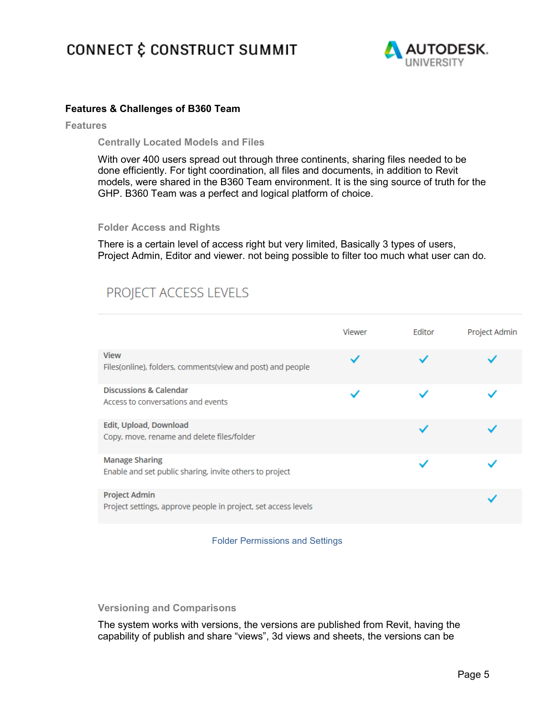

## **Features & Challenges of B360 Team**

**Features**

**Centrally Located Models and Files**

With over 400 users spread out through three continents, sharing files needed to be done efficiently. For tight coordination, all files and documents, in addition to Revit models, were shared in the B360 Team environment. It is the sing source of truth for the GHP. B360 Team was a perfect and logical platform of choice.

#### **Folder Access and Rights**

There is a certain level of access right but very limited, Basically 3 types of users, Project Admin, Editor and viewer. not being possible to filter too much what user can do.

# PROJECT ACCESS LEVELS

|                                                                                        | Viewer | Editor | Project Admin |
|----------------------------------------------------------------------------------------|--------|--------|---------------|
| <b>View</b><br>Files(online), folders, comments(view and post) and people              |        |        |               |
| <b>Discussions &amp; Calendar</b><br>Access to conversations and events                |        |        |               |
| Edit, Upload, Download<br>Copy, move, rename and delete files/folder                   |        |        |               |
| <b>Manage Sharing</b><br>Enable and set public sharing, invite others to project       |        |        |               |
| <b>Project Admin</b><br>Project settings, approve people in project, set access levels |        |        |               |

Folder Permissions and Settings

## **Versioning and Comparisons**

The system works with versions, the versions are published from Revit, having the capability of publish and share "views", 3d views and sheets, the versions can be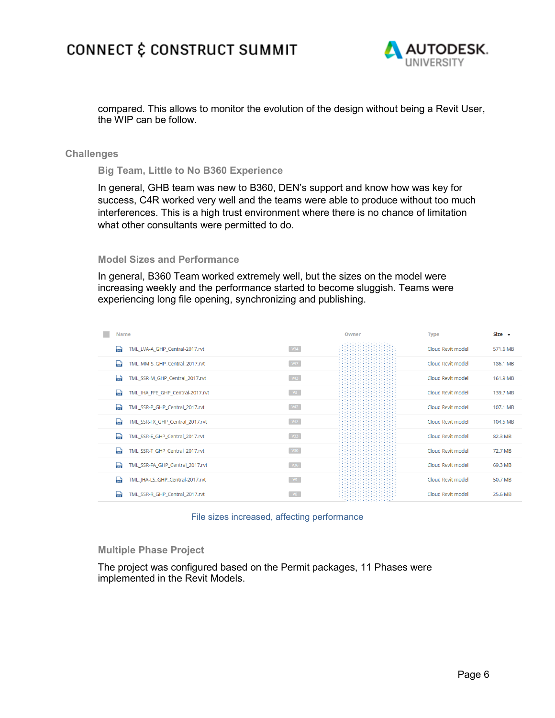

compared. This allows to monitor the evolution of the design without being a Revit User, the WIP can be follow.

#### **Challenges**

**Big Team, Little to No B360 Experience**

In general, GHB team was new to B360, DEN's support and know how was key for success, C4R worked very well and the teams were able to produce without too much interferences. This is a high trust environment where there is no chance of limitation what other consultants were permitted to do.

#### **Model Sizes and Performance**

In general, B360 Team worked extremely well, but the sizes on the model were increasing weekly and the performance started to become sluggish. Teams were experiencing long file opening, synchronizing and publishing.

| Name                                               |                 | Owner | <b>Type</b>       | $Size -$ |
|----------------------------------------------------|-----------------|-------|-------------------|----------|
| TML LVA-A GHP Central-2017.rvt<br><sub>rra</sub> ) | V34             |       | Cloud Revit model | 571.6 MB |
| TML_MM-S_GHP_Central_2017.rvt<br>ыd                | V37             |       | Cloud Revit model | 186.1 MB |
| TML SSR-M GHP Central 2017.rvt<br><b>bush</b>      | V43             |       | Cloud Revit model | 161.9 MB |
| TML IHA FFE GHP Central-2017.rvt<br>750            | V3              |       | Cloud Revit model | 139.7 MB |
| TML_SSR-P_GHP_Central_2017.rvt<br>740              | V42             |       | Cloud Revit model | 107.1 MB |
| TML_SSR-FX_GHP_Central_2017.rvt<br>760             | V32             |       | Cloud Revit model | 104.5 MB |
| TML SSR-E GHP Central 2017.rvt<br><sub>rn</sub> )  | V33             |       | Cloud Revit model | 82.3 MB  |
| ь,<br>TML_SSR-T_GHP_Central_2017.rvt               | V30             |       | Cloud Revit model | 72.7 MB  |
| TML_SSR-FA_GHP_Central_2017.rvt<br>۳ú              | V <sub>36</sub> |       | Cloud Revit model | 69.3 MB  |
| TML_JHA-LS_GHP_Central-2017.rvt<br>360             | V9              |       | Cloud Revit model | 50.7 MB  |
| TML SSR-R GHP Central 2017.rvt<br>360              | V8              |       | Cloud Revit model | 25.6 MB  |



### **Multiple Phase Project**

The project was configured based on the Permit packages, 11 Phases were implemented in the Revit Models.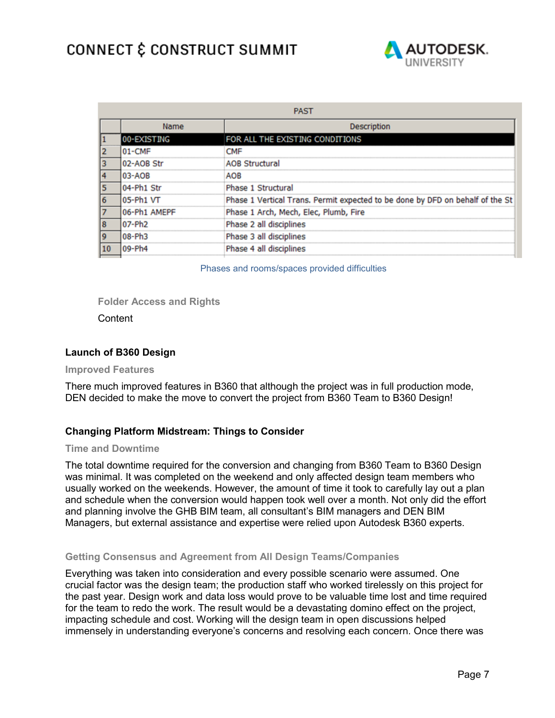

| <b>PAST</b> |                            |                                                                               |  |  |  |
|-------------|----------------------------|-------------------------------------------------------------------------------|--|--|--|
|             | Name<br><b>Description</b> |                                                                               |  |  |  |
|             | 00-EXISTING                | FOR ALL THE EXISTING CONDITIONS                                               |  |  |  |
|             | $01$ -CMF                  | <b>CMF</b>                                                                    |  |  |  |
| 3           | 02-AOB Str                 | <b>AOB Structural</b>                                                         |  |  |  |
|             | 03-AOB                     | AOB                                                                           |  |  |  |
|             | 04-Ph1 Str                 | Phase 1 Structural                                                            |  |  |  |
| 6           | 05-Ph1 VT                  | Phase 1 Vertical Trans. Permit expected to be done by DFD on behalf of the St |  |  |  |
|             | 06-Ph1 AMEPF               | Phase 1 Arch, Mech, Elec, Plumb, Fire                                         |  |  |  |
| 18          | 07-Ph <sub>2</sub>         | Phase 2 all disciplines                                                       |  |  |  |
| 19          | 08-Ph3                     | Phase 3 all disciplines                                                       |  |  |  |
| 10          | $09-Ph4$                   | Phase 4 all disciplines                                                       |  |  |  |
|             |                            |                                                                               |  |  |  |

Phases and rooms/spaces provided difficulties

### **Folder Access and Rights**

**Content** 

## **Launch of B360 Design**

#### **Improved Features**

There much improved features in B360 that although the project was in full production mode, DEN decided to make the move to convert the project from B360 Team to B360 Design!

## **Changing Platform Midstream: Things to Consider**

#### **Time and Downtime**

The total downtime required for the conversion and changing from B360 Team to B360 Design was minimal. It was completed on the weekend and only affected design team members who usually worked on the weekends. However, the amount of time it took to carefully lay out a plan and schedule when the conversion would happen took well over a month. Not only did the effort and planning involve the GHB BIM team, all consultant's BIM managers and DEN BIM Managers, but external assistance and expertise were relied upon Autodesk B360 experts.

## **Getting Consensus and Agreement from All Design Teams/Companies**

Everything was taken into consideration and every possible scenario were assumed. One crucial factor was the design team; the production staff who worked tirelessly on this project for the past year. Design work and data loss would prove to be valuable time lost and time required for the team to redo the work. The result would be a devastating domino effect on the project, impacting schedule and cost. Working will the design team in open discussions helped immensely in understanding everyone's concerns and resolving each concern. Once there was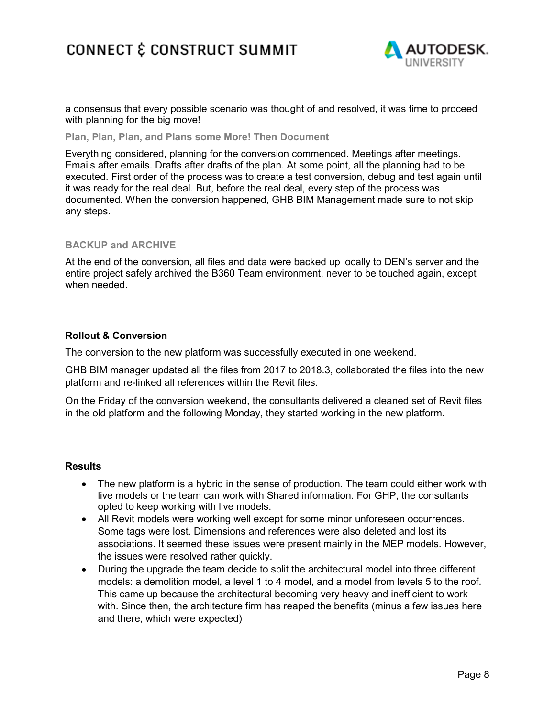

a consensus that every possible scenario was thought of and resolved, it was time to proceed with planning for the big move!

**Plan, Plan, Plan, and Plans some More! Then Document**

Everything considered, planning for the conversion commenced. Meetings after meetings. Emails after emails. Drafts after drafts of the plan. At some point, all the planning had to be executed. First order of the process was to create a test conversion, debug and test again until it was ready for the real deal. But, before the real deal, every step of the process was documented. When the conversion happened, GHB BIM Management made sure to not skip any steps.

### **BACKUP and ARCHIVE**

At the end of the conversion, all files and data were backed up locally to DEN's server and the entire project safely archived the B360 Team environment, never to be touched again, except when needed.

### **Rollout & Conversion**

The conversion to the new platform was successfully executed in one weekend.

GHB BIM manager updated all the files from 2017 to 2018.3, collaborated the files into the new platform and re-linked all references within the Revit files.

On the Friday of the conversion weekend, the consultants delivered a cleaned set of Revit files in the old platform and the following Monday, they started working in the new platform.

### **Results**

- The new platform is a hybrid in the sense of production. The team could either work with live models or the team can work with Shared information. For GHP, the consultants opted to keep working with live models.
- All Revit models were working well except for some minor unforeseen occurrences. Some tags were lost. Dimensions and references were also deleted and lost its associations. It seemed these issues were present mainly in the MEP models. However, the issues were resolved rather quickly.
- During the upgrade the team decide to split the architectural model into three different models: a demolition model, a level 1 to 4 model, and a model from levels 5 to the roof. This came up because the architectural becoming very heavy and inefficient to work with. Since then, the architecture firm has reaped the benefits (minus a few issues here and there, which were expected)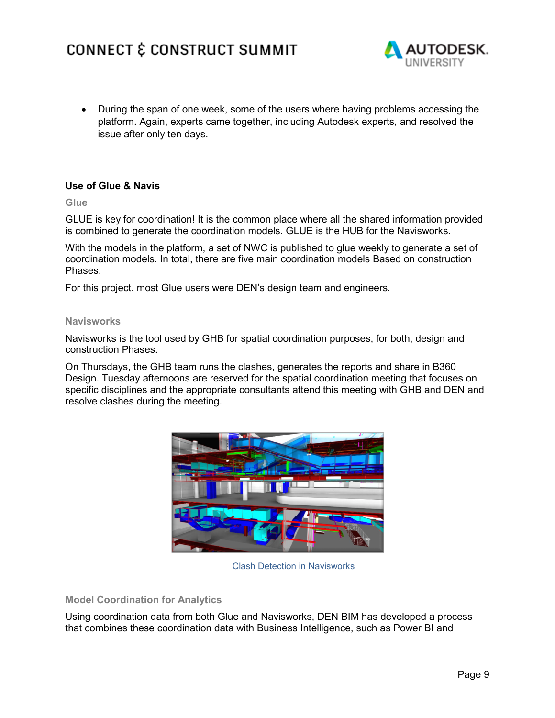

• During the span of one week, some of the users where having problems accessing the platform. Again, experts came together, including Autodesk experts, and resolved the issue after only ten days.

## **Use of Glue & Navis**

**Glue**

GLUE is key for coordination! It is the common place where all the shared information provided is combined to generate the coordination models. GLUE is the HUB for the Navisworks.

With the models in the platform, a set of NWC is published to glue weekly to generate a set of coordination models. In total, there are five main coordination models Based on construction Phases.

For this project, most Glue users were DEN's design team and engineers.

#### **Navisworks**

Navisworks is the tool used by GHB for spatial coordination purposes, for both, design and construction Phases.

On Thursdays, the GHB team runs the clashes, generates the reports and share in B360 Design. Tuesday afternoons are reserved for the spatial coordination meeting that focuses on specific disciplines and the appropriate consultants attend this meeting with GHB and DEN and resolve clashes during the meeting.



Clash Detection in Navisworks

### **Model Coordination for Analytics**

Using coordination data from both Glue and Navisworks, DEN BIM has developed a process that combines these coordination data with Business Intelligence, such as Power BI and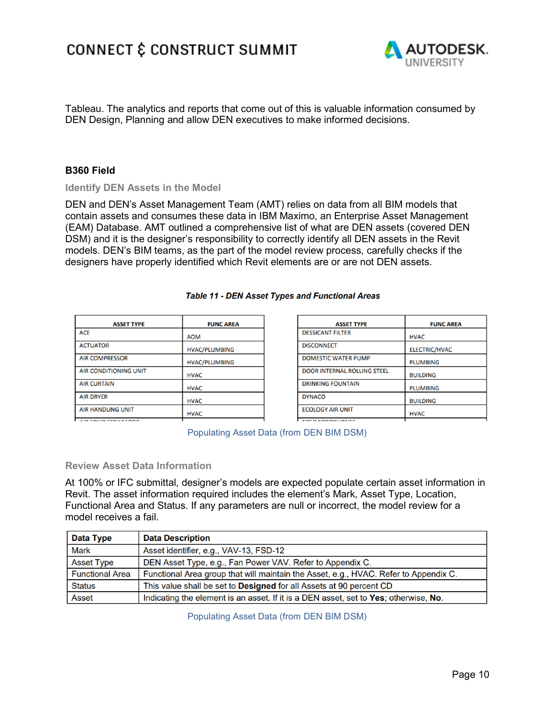

Tableau. The analytics and reports that come out of this is valuable information consumed by DEN Design, Planning and allow DEN executives to make informed decisions.

## **B360 Field**

**Identify DEN Assets in the Model**

DEN and DEN's Asset Management Team (AMT) relies on data from all BIM models that contain assets and consumes these data in IBM Maximo, an Enterprise Asset Management (EAM) Database. AMT outlined a comprehensive list of what are DEN assets (covered DEN DSM) and it is the designer's responsibility to correctly identify all DEN assets in the Revit models. DEN's BIM teams, as the part of the model review process, carefully checks if the designers have properly identified which Revit elements are or are not DEN assets.

| <b>ASSET TYPE</b>            | <b>FUNC AREA</b>     |
|------------------------------|----------------------|
| <b>ACF</b>                   | <b>AOM</b>           |
| <b>ACTUATOR</b>              | <b>HVAC/PLUMBING</b> |
| <b>AIR COMPRESSOR</b>        | <b>HVAC/PLUMBING</b> |
| <b>AIR CONDITIONING UNIT</b> | <b>HVAC</b>          |
| <b>AIR CURTAIN</b>           | <b>HVAC</b>          |
| <b>AIR DRYER</b>             | <b>HVAC</b>          |
| <b>AIR HANDLING UNIT</b>     | <b>HVAC</b>          |

#### Table 11 - DEN Asset Types and Functional Areas

| <b>ASSET TYPE</b>                  | <b>FUNC AREA</b>     |
|------------------------------------|----------------------|
| <b>DESSICANT FILTER</b>            | <b>HVAC</b>          |
| <b>DISCONNECT</b>                  | <b>ELECTRIC/HVAC</b> |
| <b>DOMESTIC WATER PUMP</b>         | <b>PLUMBING</b>      |
| <b>DOOR INTERNAL ROLLING STEEL</b> | <b>BUILDING</b>      |
| <b>DRINKING FOUNTAIN</b>           | <b>PLUMBING</b>      |
| <b>DYNACO</b>                      | <b>BUILDING</b>      |
| <b>ECOLOGY AIR UNIT</b>            | <b>HVAC</b>          |
| FOR BROOMBILOMER                   |                      |

AIR COLID CERARATOR

Populating Asset Data (from DEN BIM DSM)

### **Review Asset Data Information**

At 100% or IFC submittal, designer's models are expected populate certain asset information in Revit. The asset information required includes the element's Mark, Asset Type, Location, Functional Area and Status. If any parameters are null or incorrect, the model review for a model receives a fail.

| Data Type              | <b>Data Description</b>                                                              |
|------------------------|--------------------------------------------------------------------------------------|
| <b>Mark</b>            | Asset identifier, e.g., VAV-13, FSD-12                                               |
| <b>Asset Type</b>      | DEN Asset Type, e.g., Fan Power VAV. Refer to Appendix C.                            |
| <b>Functional Area</b> | Functional Area group that will maintain the Asset, e.g., HVAC. Refer to Appendix C. |
| <b>Status</b>          | This value shall be set to <b>Designed</b> for all Assets at 90 percent CD           |
| <b>Asset</b>           | Indicating the element is an asset. If it is a DEN asset, set to Yes; otherwise, No. |

Populating Asset Data (from DEN BIM DSM)